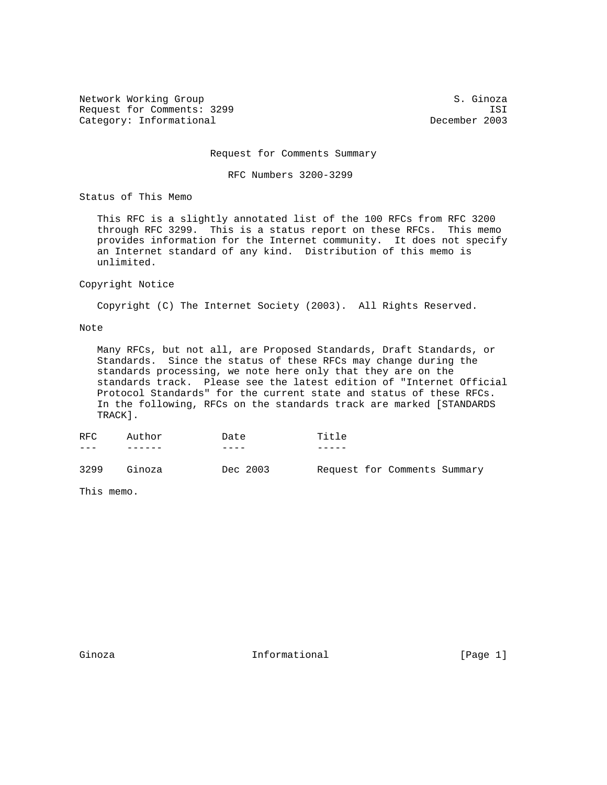Network Working Group S. Ginoza Request for Comments: 3299 ISI<br>Category: Informational December 2003 Category: Informational

Request for Comments Summary

RFC Numbers 3200-3299

Status of This Memo

 This RFC is a slightly annotated list of the 100 RFCs from RFC 3200 through RFC 3299. This is a status report on these RFCs. This memo provides information for the Internet community. It does not specify an Internet standard of any kind. Distribution of this memo is unlimited.

## Copyright Notice

Copyright (C) The Internet Society (2003). All Rights Reserved.

## Note

 Many RFCs, but not all, are Proposed Standards, Draft Standards, or Standards. Since the status of these RFCs may change during the standards processing, we note here only that they are on the standards track. Please see the latest edition of "Internet Official Protocol Standards" for the current state and status of these RFCs. In the following, RFCs on the standards track are marked [STANDARDS TRACK].

| RFC. | Author | Date     | Title                        |
|------|--------|----------|------------------------------|
|      |        |          |                              |
| 3299 | Ginoza | Dec 2003 | Request for Comments Summary |

This memo.

Ginoza **Informational Informational** [Page 1]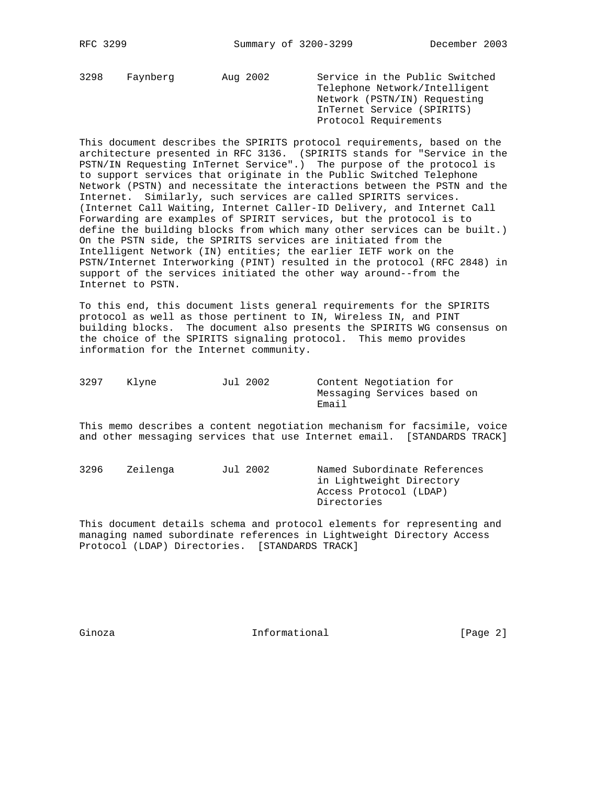3298 Faynberg Aug 2002 Service in the Public Switched Telephone Network/Intelligent Network (PSTN/IN) Requesting InTernet Service (SPIRITS) Protocol Requirements

This document describes the SPIRITS protocol requirements, based on the architecture presented in RFC 3136. (SPIRITS stands for "Service in the PSTN/IN Requesting InTernet Service".) The purpose of the protocol is to support services that originate in the Public Switched Telephone Network (PSTN) and necessitate the interactions between the PSTN and the Internet. Similarly, such services are called SPIRITS services. (Internet Call Waiting, Internet Caller-ID Delivery, and Internet Call Forwarding are examples of SPIRIT services, but the protocol is to define the building blocks from which many other services can be built.) On the PSTN side, the SPIRITS services are initiated from the Intelligent Network (IN) entities; the earlier IETF work on the PSTN/Internet Interworking (PINT) resulted in the protocol (RFC 2848) in support of the services initiated the other way around--from the Internet to PSTN.

To this end, this document lists general requirements for the SPIRITS protocol as well as those pertinent to IN, Wireless IN, and PINT building blocks. The document also presents the SPIRITS WG consensus on the choice of the SPIRITS signaling protocol. This memo provides information for the Internet community.

| 3297 | Klyne | Jul 2002 | Content Negotiation for     |
|------|-------|----------|-----------------------------|
|      |       |          | Messaging Services based on |
|      |       |          | Email                       |

This memo describes a content negotiation mechanism for facsimile, voice and other messaging services that use Internet email. [STANDARDS TRACK]

| 3296 | Zeilenga | Jul 2002 | Named Subordinate References |
|------|----------|----------|------------------------------|
|      |          |          | in Lightweight Directory     |
|      |          |          | Access Protocol (LDAP)       |
|      |          |          | Directories                  |

This document details schema and protocol elements for representing and managing named subordinate references in Lightweight Directory Access Protocol (LDAP) Directories. [STANDARDS TRACK]

Ginoza **Informational** Informational [Page 2]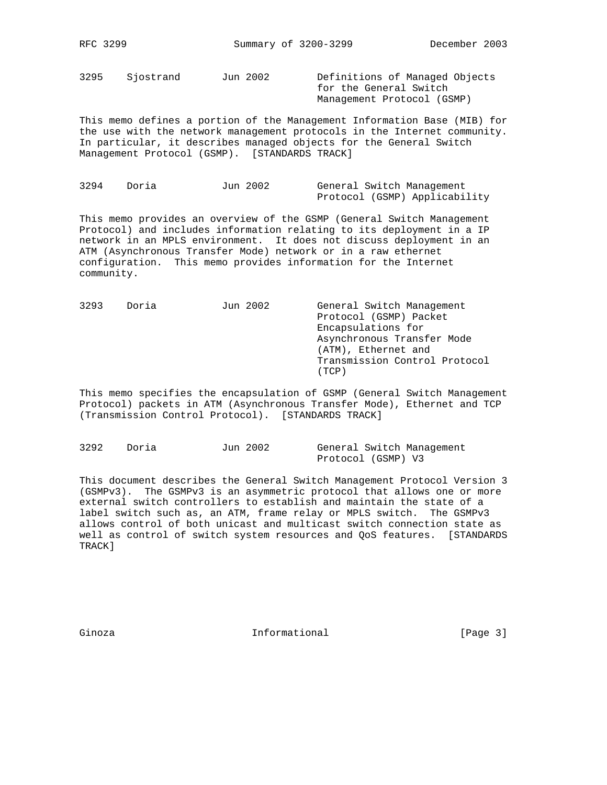3295 Sjostrand Jun 2002 Definitions of Managed Objects

 for the General Switch Management Protocol (GSMP)

This memo defines a portion of the Management Information Base (MIB) for the use with the network management protocols in the Internet community. In particular, it describes managed objects for the General Switch Management Protocol (GSMP). [STANDARDS TRACK]

| 3294 | Doria | Jun 2002 |  | General Switch Management     |
|------|-------|----------|--|-------------------------------|
|      |       |          |  | Protocol (GSMP) Applicability |

This memo provides an overview of the GSMP (General Switch Management Protocol) and includes information relating to its deployment in a IP network in an MPLS environment. It does not discuss deployment in an ATM (Asynchronous Transfer Mode) network or in a raw ethernet configuration. This memo provides information for the Internet community.

3293 Doria Jun 2002 General Switch Management Protocol (GSMP) Packet Encapsulations for Asynchronous Transfer Mode (ATM), Ethernet and Transmission Control Protocol (TCP)

This memo specifies the encapsulation of GSMP (General Switch Management Protocol) packets in ATM (Asynchronous Transfer Mode), Ethernet and TCP (Transmission Control Protocol). [STANDARDS TRACK]

| 3292 | Doria | Jun 2002 |                    | General Switch Management |
|------|-------|----------|--------------------|---------------------------|
|      |       |          | Protocol (GSMP) V3 |                           |

This document describes the General Switch Management Protocol Version 3 (GSMPv3). The GSMPv3 is an asymmetric protocol that allows one or more external switch controllers to establish and maintain the state of a label switch such as, an ATM, frame relay or MPLS switch. The GSMPv3 allows control of both unicast and multicast switch connection state as well as control of switch system resources and QoS features. [STANDARDS TRACK]

Ginoza **Informational** Informational [Page 3]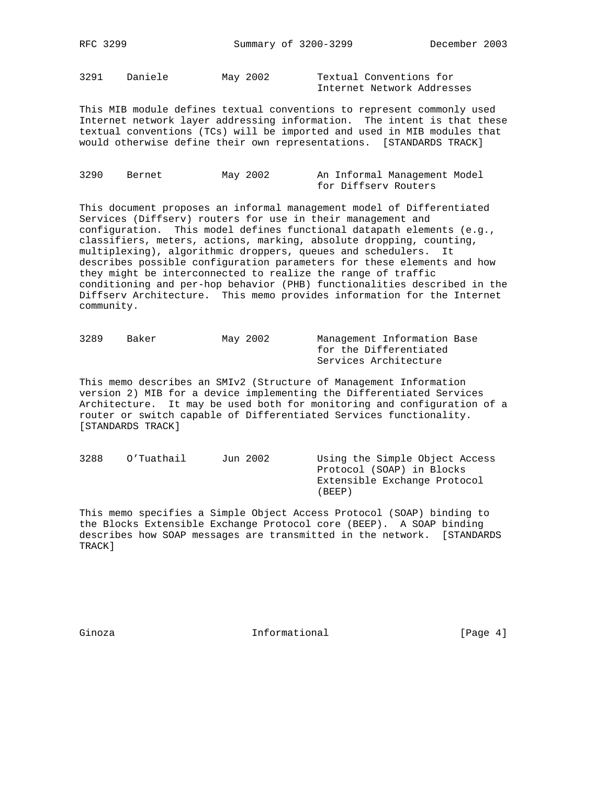3291 Daniele May 2002 Textual Conventions for Internet Network Addresses

This MIB module defines textual conventions to represent commonly used Internet network layer addressing information. The intent is that these textual conventions (TCs) will be imported and used in MIB modules that would otherwise define their own representations. [STANDARDS TRACK]

| 3290 | Bernet | May 2002 |                      | An Informal Management Model |  |
|------|--------|----------|----------------------|------------------------------|--|
|      |        |          | for Diffserv Routers |                              |  |

This document proposes an informal management model of Differentiated Services (Diffserv) routers for use in their management and configuration. This model defines functional datapath elements (e.g., classifiers, meters, actions, marking, absolute dropping, counting, multiplexing), algorithmic droppers, queues and schedulers. It describes possible configuration parameters for these elements and how they might be interconnected to realize the range of traffic conditioning and per-hop behavior (PHB) functionalities described in the Diffserv Architecture. This memo provides information for the Internet community.

| 3289 | Baker | May 2002 | Management Information Base |
|------|-------|----------|-----------------------------|
|      |       |          | for the Differentiated      |
|      |       |          | Services Architecture       |

This memo describes an SMIv2 (Structure of Management Information version 2) MIB for a device implementing the Differentiated Services Architecture. It may be used both for monitoring and configuration of a router or switch capable of Differentiated Services functionality. [STANDARDS TRACK]

3288 O'Tuathail Jun 2002 Using the Simple Object Access Protocol (SOAP) in Blocks Extensible Exchange Protocol (BEEP)

This memo specifies a Simple Object Access Protocol (SOAP) binding to the Blocks Extensible Exchange Protocol core (BEEP). A SOAP binding describes how SOAP messages are transmitted in the network. [STANDARDS TRACK]

Ginoza **Informational Informational** [Page 4]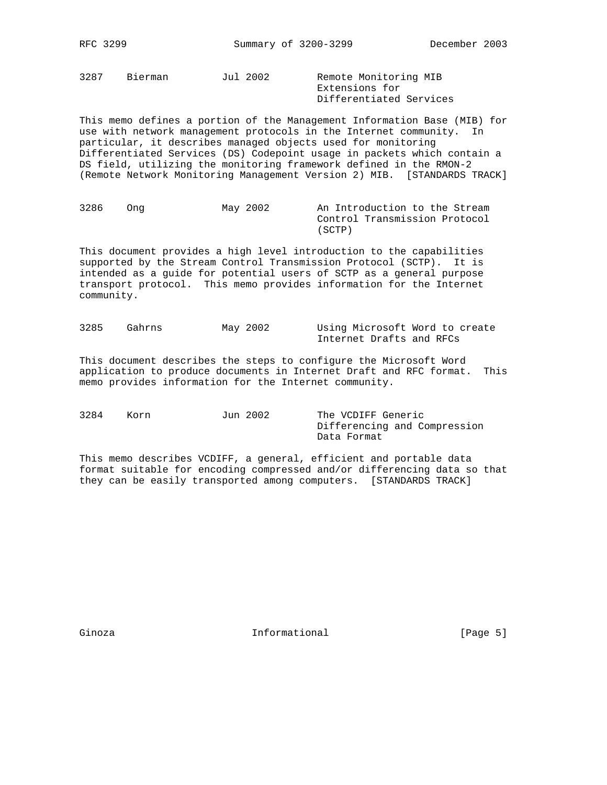Differentiated Services

3287 Bierman Jul 2002 Remote Monitoring MIB Extensions for

This memo defines a portion of the Management Information Base (MIB) for use with network management protocols in the Internet community. In particular, it describes managed objects used for monitoring Differentiated Services (DS) Codepoint usage in packets which contain a DS field, utilizing the monitoring framework defined in the RMON-2 (Remote Network Monitoring Management Version 2) MIB. [STANDARDS TRACK]

| 3286 | Ona | May 2002 |        |  | An Introduction to the Stream |  |  |
|------|-----|----------|--------|--|-------------------------------|--|--|
|      |     |          |        |  | Control Transmission Protocol |  |  |
|      |     |          | (SCTP) |  |                               |  |  |

This document provides a high level introduction to the capabilities supported by the Stream Control Transmission Protocol (SCTP). It is intended as a guide for potential users of SCTP as a general purpose transport protocol. This memo provides information for the Internet community.

3285 Gahrns May 2002 Using Microsoft Word to create Internet Drafts and RFCs

This document describes the steps to configure the Microsoft Word application to produce documents in Internet Draft and RFC format. This memo provides information for the Internet community.

| 3284 | Korn | Jun 2002 | The VCDIFF Generic           |
|------|------|----------|------------------------------|
|      |      |          | Differencing and Compression |
|      |      |          | Data Format                  |

This memo describes VCDIFF, a general, efficient and portable data format suitable for encoding compressed and/or differencing data so that they can be easily transported among computers. [STANDARDS TRACK]

Ginoza **Informational** Informational [Page 5]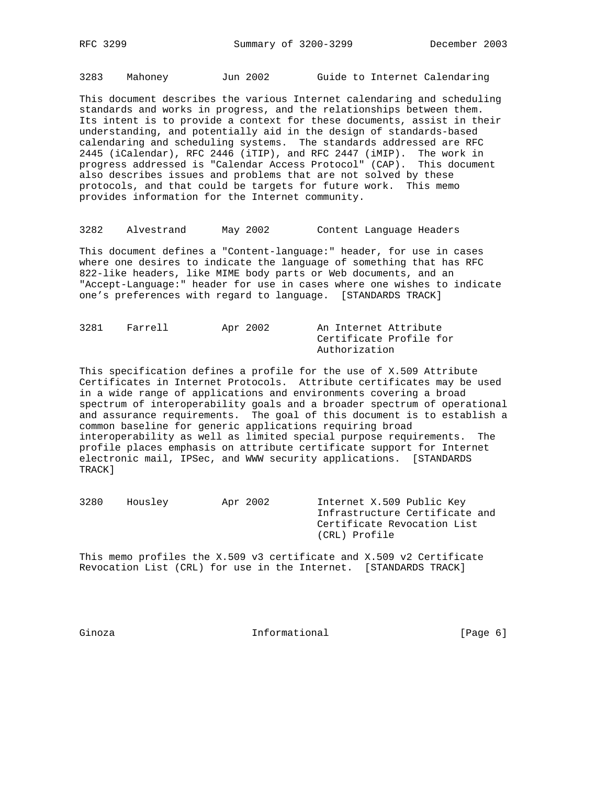3283 Mahoney Jun 2002 Guide to Internet Calendaring

This document describes the various Internet calendaring and scheduling standards and works in progress, and the relationships between them. Its intent is to provide a context for these documents, assist in their understanding, and potentially aid in the design of standards-based calendaring and scheduling systems. The standards addressed are RFC 2445 (iCalendar), RFC 2446 (iTIP), and RFC 2447 (iMIP). The work in progress addressed is "Calendar Access Protocol" (CAP). This document also describes issues and problems that are not solved by these protocols, and that could be targets for future work. This memo provides information for the Internet community.

3282 Alvestrand May 2002 Content Language Headers

This document defines a "Content-language:" header, for use in cases where one desires to indicate the language of something that has RFC 822-like headers, like MIME body parts or Web documents, and an "Accept-Language:" header for use in cases where one wishes to indicate one's preferences with regard to language. [STANDARDS TRACK]

| 3281 | Farrell | Apr 2002 | An Internet Attribute |                         |  |  |  |
|------|---------|----------|-----------------------|-------------------------|--|--|--|
|      |         |          |                       | Certificate Profile for |  |  |  |
|      |         |          |                       | Authorization           |  |  |  |

This specification defines a profile for the use of X.509 Attribute Certificates in Internet Protocols. Attribute certificates may be used in a wide range of applications and environments covering a broad spectrum of interoperability goals and a broader spectrum of operational and assurance requirements. The goal of this document is to establish a common baseline for generic applications requiring broad interoperability as well as limited special purpose requirements. The profile places emphasis on attribute certificate support for Internet electronic mail, IPSec, and WWW security applications. [STANDARDS TRACK]

3280 Housley Apr 2002 Internet X.509 Public Key Infrastructure Certificate and Certificate Revocation List (CRL) Profile

This memo profiles the X.509 v3 certificate and X.509 v2 Certificate Revocation List (CRL) for use in the Internet. [STANDARDS TRACK]

Ginoza **Informational** Informational [Page 6]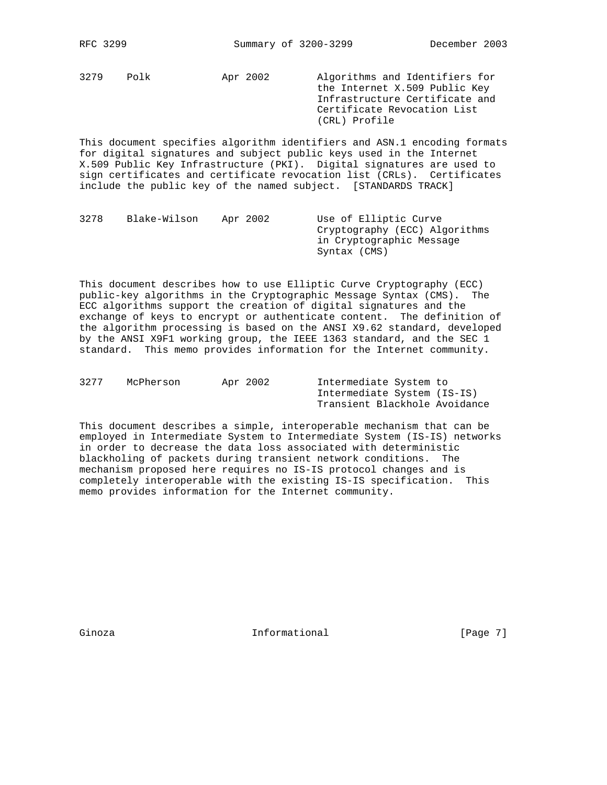3279 Polk Apr 2002 Algorithms and Identifiers for the Internet X.509 Public Key Infrastructure Certificate and Certificate Revocation List (CRL) Profile

This document specifies algorithm identifiers and ASN.1 encoding formats for digital signatures and subject public keys used in the Internet X.509 Public Key Infrastructure (PKI). Digital signatures are used to sign certificates and certificate revocation list (CRLs). Certificates include the public key of the named subject. [STANDARDS TRACK]

| 3278 | Blake-Wilson | Apr 2002 | Use of Elliptic Curve         |
|------|--------------|----------|-------------------------------|
|      |              |          | Cryptography (ECC) Algorithms |
|      |              |          | in Cryptographic Message      |
|      |              |          | Syntax (CMS)                  |

This document describes how to use Elliptic Curve Cryptography (ECC) public-key algorithms in the Cryptographic Message Syntax (CMS). The ECC algorithms support the creation of digital signatures and the exchange of keys to encrypt or authenticate content. The definition of the algorithm processing is based on the ANSI X9.62 standard, developed by the ANSI X9F1 working group, the IEEE 1363 standard, and the SEC 1 standard. This memo provides information for the Internet community.

| 3277 | McPherson | Apr 2002 | Intermediate System to        |  |
|------|-----------|----------|-------------------------------|--|
|      |           |          | Intermediate System (IS-IS)   |  |
|      |           |          | Transient Blackhole Avoidance |  |

This document describes a simple, interoperable mechanism that can be employed in Intermediate System to Intermediate System (IS-IS) networks in order to decrease the data loss associated with deterministic blackholing of packets during transient network conditions. The mechanism proposed here requires no IS-IS protocol changes and is completely interoperable with the existing IS-IS specification. This memo provides information for the Internet community.

Ginoza **Informational** Informational [Page 7]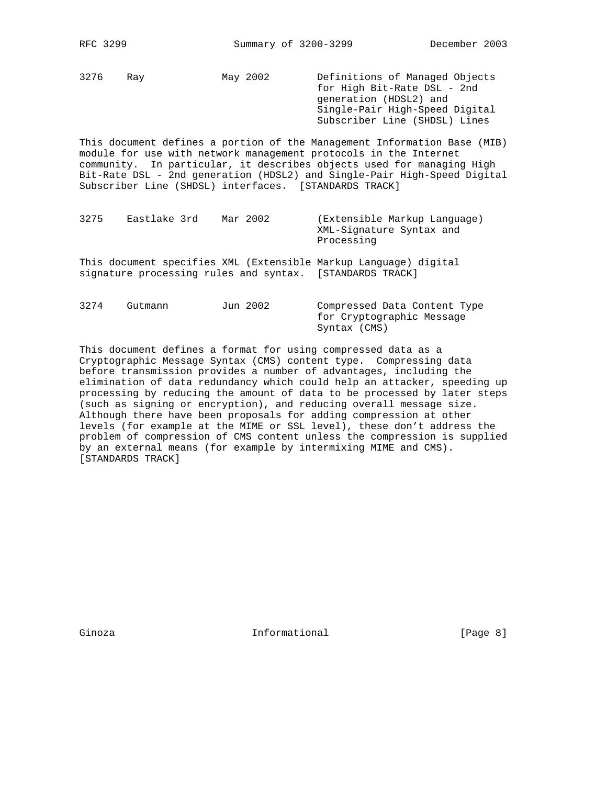3276 Ray May 2002 Definitions of Managed Objects for High Bit-Rate DSL - 2nd generation (HDSL2) and Single-Pair High-Speed Digital Subscriber Line (SHDSL) Lines

This document defines a portion of the Management Information Base (MIB) module for use with network management protocols in the Internet community. In particular, it describes objects used for managing High Bit-Rate DSL - 2nd generation (HDSL2) and Single-Pair High-Speed Digital Subscriber Line (SHDSL) interfaces. [STANDARDS TRACK]

- 3275 Eastlake 3rd Mar 2002 (Extensible Markup Language) XML-Signature Syntax and Processing
- This document specifies XML (Extensible Markup Language) digital signature processing rules and syntax. [STANDARDS TRACK]

3274 Gutmann Jun 2002 Compressed Data Content Type for Cryptographic Message Syntax (CMS)

This document defines a format for using compressed data as a Cryptographic Message Syntax (CMS) content type. Compressing data before transmission provides a number of advantages, including the elimination of data redundancy which could help an attacker, speeding up processing by reducing the amount of data to be processed by later steps (such as signing or encryption), and reducing overall message size. Although there have been proposals for adding compression at other levels (for example at the MIME or SSL level), these don't address the problem of compression of CMS content unless the compression is supplied by an external means (for example by intermixing MIME and CMS). [STANDARDS TRACK]

Ginoza **Informational Informational** [Page 8]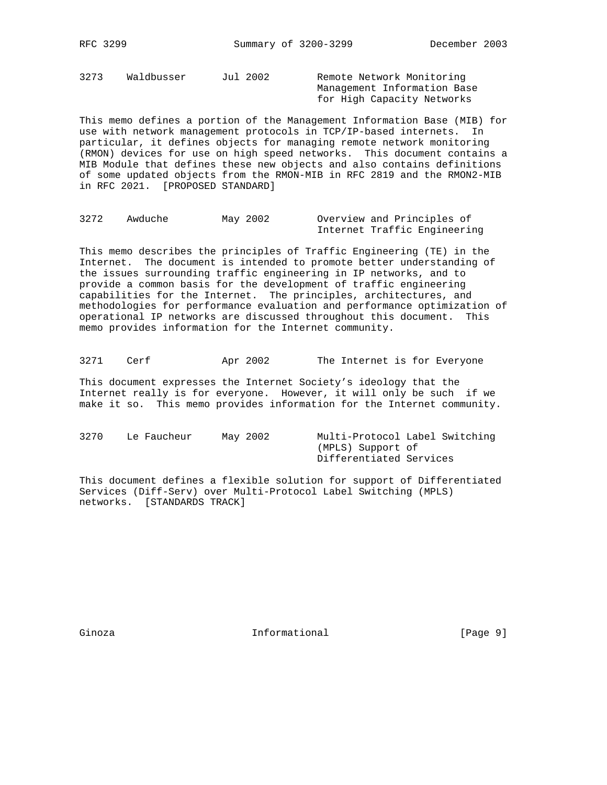3273 Waldbusser Jul 2002 Remote Network Monitoring

 Management Information Base for High Capacity Networks

This memo defines a portion of the Management Information Base (MIB) for use with network management protocols in TCP/IP-based internets. In particular, it defines objects for managing remote network monitoring (RMON) devices for use on high speed networks. This document contains a MIB Module that defines these new objects and also contains definitions of some updated objects from the RMON-MIB in RFC 2819 and the RMON2-MIB in RFC 2021. [PROPOSED STANDARD]

```
3272 Awduche May 2002 Overview and Principles of
                     Internet Traffic Engineering
```
This memo describes the principles of Traffic Engineering (TE) in the Internet. The document is intended to promote better understanding of the issues surrounding traffic engineering in IP networks, and to provide a common basis for the development of traffic engineering capabilities for the Internet. The principles, architectures, and methodologies for performance evaluation and performance optimization of operational IP networks are discussed throughout this document. This memo provides information for the Internet community.

3271 Cerf Apr 2002 The Internet is for Everyone

This document expresses the Internet Society's ideology that the Internet really is for everyone. However, it will only be such if we make it so. This memo provides information for the Internet community.

3270 Le Faucheur May 2002 Multi-Protocol Label Switching (MPLS) Support of Differentiated Services

This document defines a flexible solution for support of Differentiated Services (Diff-Serv) over Multi-Protocol Label Switching (MPLS) networks. [STANDARDS TRACK]

Ginoza **Informational Informational** [Page 9]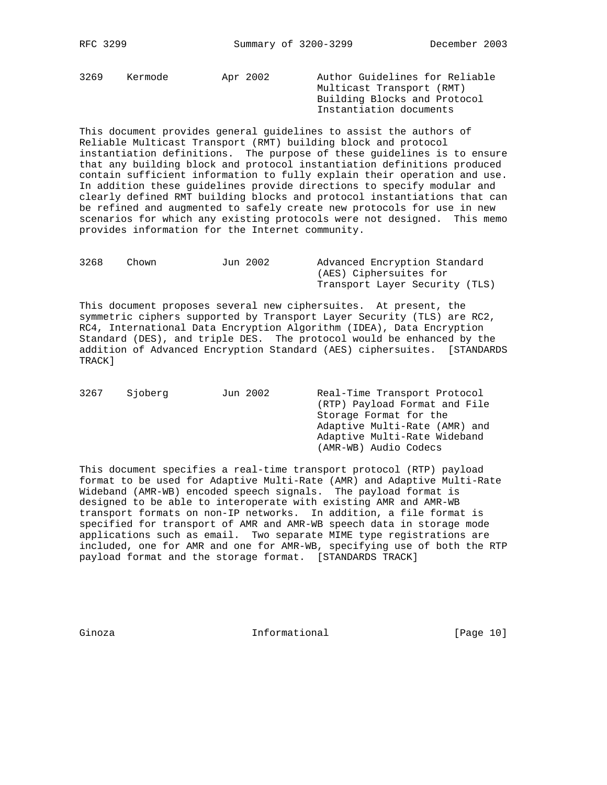3269 Kermode Apr 2002 Author Guidelines for Reliable Multicast Transport (RMT) Building Blocks and Protocol Instantiation documents

This document provides general guidelines to assist the authors of Reliable Multicast Transport (RMT) building block and protocol instantiation definitions. The purpose of these guidelines is to ensure that any building block and protocol instantiation definitions produced contain sufficient information to fully explain their operation and use. In addition these guidelines provide directions to specify modular and clearly defined RMT building blocks and protocol instantiations that can be refined and augmented to safely create new protocols for use in new scenarios for which any existing protocols were not designed. This memo provides information for the Internet community.

| 3268 | Chown | Jun 2002 | Advanced Encryption Standard   |  |  |  |
|------|-------|----------|--------------------------------|--|--|--|
|      |       |          | (AES) Ciphersuites for         |  |  |  |
|      |       |          | Transport Layer Security (TLS) |  |  |  |

This document proposes several new ciphersuites. At present, the symmetric ciphers supported by Transport Layer Security (TLS) are RC2, RC4, International Data Encryption Algorithm (IDEA), Data Encryption Standard (DES), and triple DES. The protocol would be enhanced by the addition of Advanced Encryption Standard (AES) ciphersuites. [STANDARDS TRACK]

| 3267 | Sioberg | Jun 2002 | Real-Time Transport Protocol  |
|------|---------|----------|-------------------------------|
|      |         |          | (RTP) Payload Format and File |
|      |         |          | Storage Format for the        |
|      |         |          | Adaptive Multi-Rate (AMR) and |
|      |         |          | Adaptive Multi-Rate Wideband  |
|      |         |          | (AMR-WB) Audio Codecs         |
|      |         |          |                               |

This document specifies a real-time transport protocol (RTP) payload format to be used for Adaptive Multi-Rate (AMR) and Adaptive Multi-Rate Wideband (AMR-WB) encoded speech signals. The payload format is designed to be able to interoperate with existing AMR and AMR-WB transport formats on non-IP networks. In addition, a file format is specified for transport of AMR and AMR-WB speech data in storage mode applications such as email. Two separate MIME type registrations are included, one for AMR and one for AMR-WB, specifying use of both the RTP payload format and the storage format. [STANDARDS TRACK]

Ginoza **Informational Informational** [Page 10]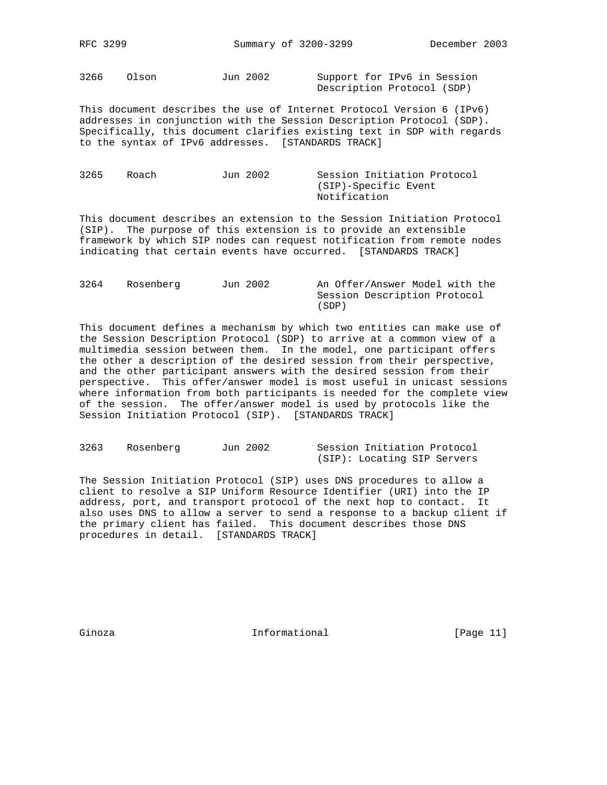3266 Olson Jun 2002 Support for IPv6 in Session Description Protocol (SDP)

This document describes the use of Internet Protocol Version 6 (IPv6) addresses in conjunction with the Session Description Protocol (SDP). Specifically, this document clarifies existing text in SDP with regards to the syntax of IPv6 addresses. [STANDARDS TRACK]

| 3265 | Roach | Jun 2002 | Session Initiation Protocol |
|------|-------|----------|-----------------------------|
|      |       |          | (SIP)-Specific Event        |
|      |       |          | Notification                |

This document describes an extension to the Session Initiation Protocol (SIP). The purpose of this extension is to provide an extensible framework by which SIP nodes can request notification from remote nodes indicating that certain events have occurred. [STANDARDS TRACK]

| 3264 | Rosenberg | Jun 2002 | An Offer/Answer Model with the |
|------|-----------|----------|--------------------------------|
|      |           |          | Session Description Protocol   |
|      |           |          | (SDP)                          |

This document defines a mechanism by which two entities can make use of the Session Description Protocol (SDP) to arrive at a common view of a multimedia session between them. In the model, one participant offers the other a description of the desired session from their perspective, and the other participant answers with the desired session from their perspective. This offer/answer model is most useful in unicast sessions where information from both participants is needed for the complete view of the session. The offer/answer model is used by protocols like the Session Initiation Protocol (SIP). [STANDARDS TRACK]

| 3263 | Rosenberg | Jun 2002 |  | Session Initiation Protocol |  |
|------|-----------|----------|--|-----------------------------|--|
|      |           |          |  | (SIP): Locating SIP Servers |  |

The Session Initiation Protocol (SIP) uses DNS procedures to allow a client to resolve a SIP Uniform Resource Identifier (URI) into the IP address, port, and transport protocol of the next hop to contact. It also uses DNS to allow a server to send a response to a backup client if the primary client has failed. This document describes those DNS procedures in detail. [STANDARDS TRACK]

Ginoza **Informational** Informational [Page 11]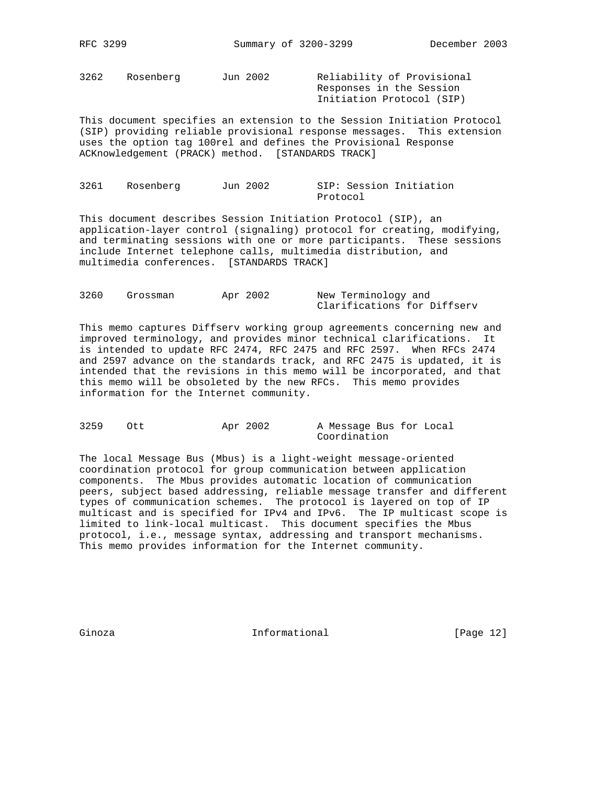3262 Rosenberg Jun 2002 Reliability of Provisional

 Responses in the Session Initiation Protocol (SIP)

This document specifies an extension to the Session Initiation Protocol (SIP) providing reliable provisional response messages. This extension uses the option tag 100rel and defines the Provisional Response ACKnowledgement (PRACK) method. [STANDARDS TRACK]

| 3261 | Rosenberg | Jun 2002 |          | SIP: Session Initiation |
|------|-----------|----------|----------|-------------------------|
|      |           |          | Protocol |                         |

This document describes Session Initiation Protocol (SIP), an application-layer control (signaling) protocol for creating, modifying, and terminating sessions with one or more participants. These sessions include Internet telephone calls, multimedia distribution, and multimedia conferences. [STANDARDS TRACK]

| 3260 | Grossman | Apr 2002 |  | New Terminology and         |  |
|------|----------|----------|--|-----------------------------|--|
|      |          |          |  | Clarifications for Diffserv |  |

This memo captures Diffserv working group agreements concerning new and improved terminology, and provides minor technical clarifications. It is intended to update RFC 2474, RFC 2475 and RFC 2597. When RFCs 2474 and 2597 advance on the standards track, and RFC 2475 is updated, it is intended that the revisions in this memo will be incorporated, and that this memo will be obsoleted by the new RFCs. This memo provides information for the Internet community.

3259 Ott Apr 2002 A Message Bus for Local Coordination

The local Message Bus (Mbus) is a light-weight message-oriented coordination protocol for group communication between application components. The Mbus provides automatic location of communication peers, subject based addressing, reliable message transfer and different types of communication schemes. The protocol is layered on top of IP multicast and is specified for IPv4 and IPv6. The IP multicast scope is limited to link-local multicast. This document specifies the Mbus protocol, i.e., message syntax, addressing and transport mechanisms. This memo provides information for the Internet community.

Ginoza **Informational** Informational [Page 12]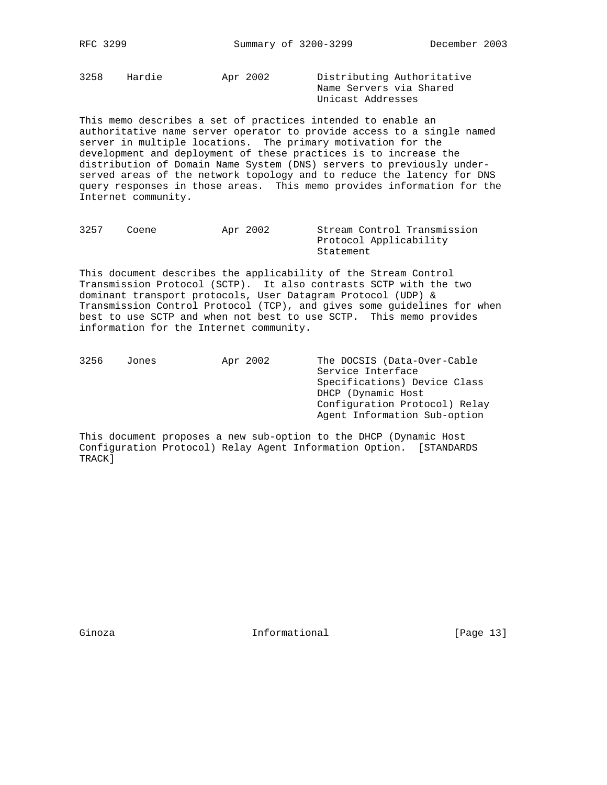3258 Hardie Apr 2002 Distributing Authoritative

 Name Servers via Shared Unicast Addresses

This memo describes a set of practices intended to enable an authoritative name server operator to provide access to a single named server in multiple locations. The primary motivation for the development and deployment of these practices is to increase the distribution of Domain Name System (DNS) servers to previously underserved areas of the network topology and to reduce the latency for DNS query responses in those areas. This memo provides information for the Internet community.

| 3257 | Coene | Apr 2002 | Stream Control Transmission |
|------|-------|----------|-----------------------------|
|      |       |          | Protocol Applicability      |
|      |       |          | Statement                   |

This document describes the applicability of the Stream Control Transmission Protocol (SCTP). It also contrasts SCTP with the two dominant transport protocols, User Datagram Protocol (UDP) & Transmission Control Protocol (TCP), and gives some guidelines for when best to use SCTP and when not best to use SCTP. This memo provides information for the Internet community.

| 3256 | Jones | Apr 2002 | The DOCSIS (Data-Over-Cable   |
|------|-------|----------|-------------------------------|
|      |       |          | Service Interface             |
|      |       |          | Specifications) Device Class  |
|      |       |          | DHCP (Dynamic Host            |
|      |       |          | Configuration Protocol) Relay |
|      |       |          | Agent Information Sub-option  |
|      |       |          |                               |

This document proposes a new sub-option to the DHCP (Dynamic Host Configuration Protocol) Relay Agent Information Option. [STANDARDS TRACK]

Ginoza **Informational Informational** [Page 13]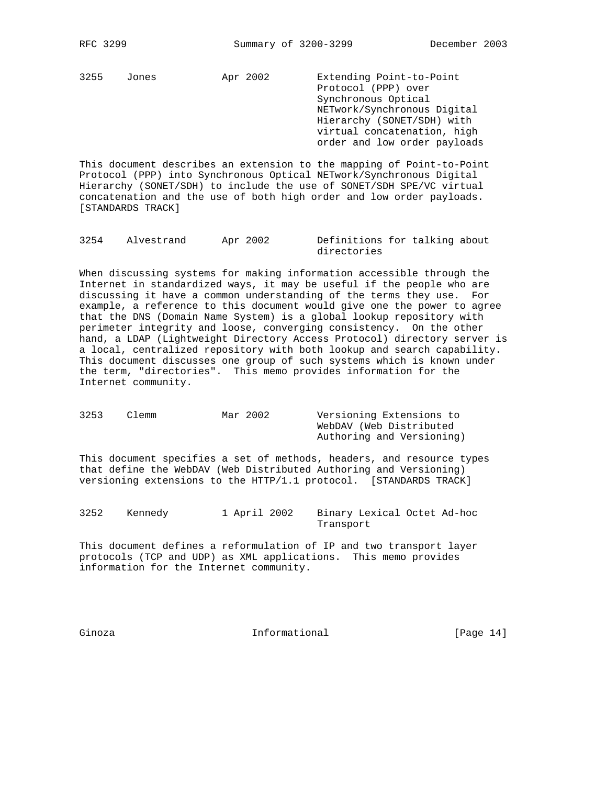3255 Jones Apr 2002 Extending Point-to-Point

 Protocol (PPP) over Synchronous Optical NETwork/Synchronous Digital Hierarchy (SONET/SDH) with virtual concatenation, high order and low order payloads

This document describes an extension to the mapping of Point-to-Point Protocol (PPP) into Synchronous Optical NETwork/Synchronous Digital Hierarchy (SONET/SDH) to include the use of SONET/SDH SPE/VC virtual concatenation and the use of both high order and low order payloads. [STANDARDS TRACK]

| 3254 | Alvestrand | Apr 2002 | Definitions for talking about |  |  |
|------|------------|----------|-------------------------------|--|--|
|      |            |          | directories                   |  |  |

When discussing systems for making information accessible through the Internet in standardized ways, it may be useful if the people who are discussing it have a common understanding of the terms they use. For example, a reference to this document would give one the power to agree that the DNS (Domain Name System) is a global lookup repository with perimeter integrity and loose, converging consistency. On the other hand, a LDAP (Lightweight Directory Access Protocol) directory server is a local, centralized repository with both lookup and search capability. This document discusses one group of such systems which is known under the term, "directories". This memo provides information for the Internet community.

| 3253 | Clemm | Mar 2002 | Versioning Extensions to  |
|------|-------|----------|---------------------------|
|      |       |          | WebDAV (Web Distributed   |
|      |       |          | Authoring and Versioning) |

This document specifies a set of methods, headers, and resource types that define the WebDAV (Web Distributed Authoring and Versioning) versioning extensions to the HTTP/1.1 protocol. [STANDARDS TRACK]

3252 Kennedy 1 April 2002 Binary Lexical Octet Ad-hoc Transport

This document defines a reformulation of IP and two transport layer protocols (TCP and UDP) as XML applications. This memo provides information for the Internet community.

Ginoza **Informational** Informational [Page 14]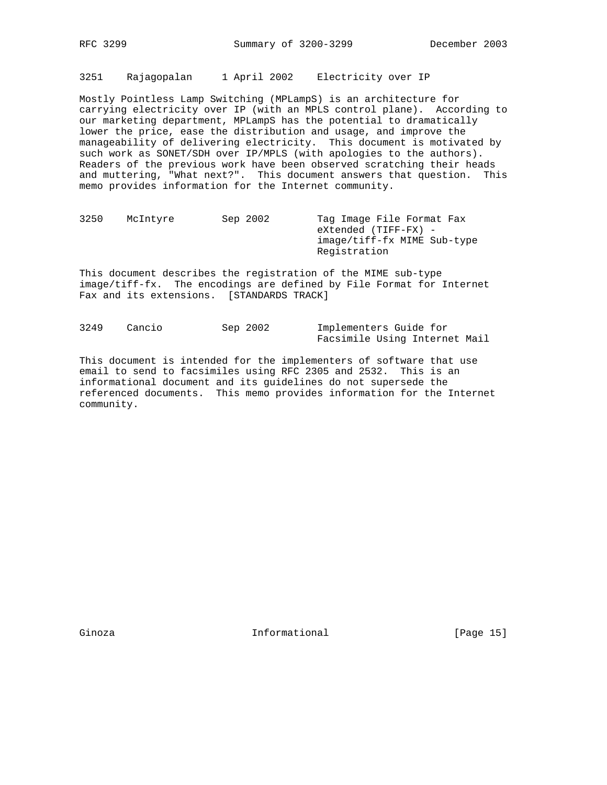3251 Rajagopalan 1 April 2002 Electricity over IP

Mostly Pointless Lamp Switching (MPLampS) is an architecture for carrying electricity over IP (with an MPLS control plane). According to our marketing department, MPLampS has the potential to dramatically lower the price, ease the distribution and usage, and improve the manageability of delivering electricity. This document is motivated by such work as SONET/SDH over IP/MPLS (with apologies to the authors). Readers of the previous work have been observed scratching their heads and muttering, "What next?". This document answers that question. This memo provides information for the Internet community.

3250 McIntyre Sep 2002 Tag Image File Format Fax eXtended (TIFF-FX) image/tiff-fx MIME Sub-type Registration

This document describes the registration of the MIME sub-type image/tiff-fx. The encodings are defined by File Format for Internet Fax and its extensions. [STANDARDS TRACK]

3249 Cancio Sep 2002 Implementers Guide for Facsimile Using Internet Mail

This document is intended for the implementers of software that use email to send to facsimiles using RFC 2305 and 2532. This is an informational document and its guidelines do not supersede the referenced documents. This memo provides information for the Internet community.

Ginoza **Informational Informational** [Page 15]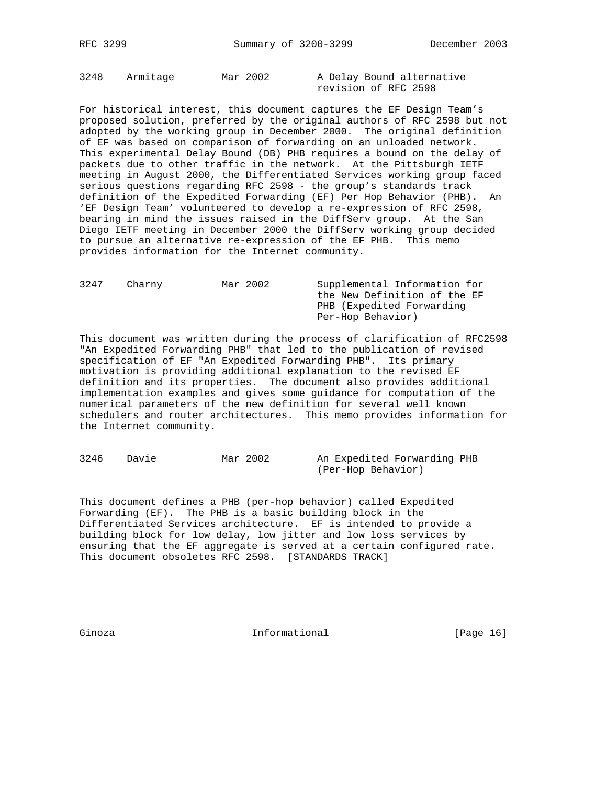3248 Armitage Mar 2002 A Delay Bound alternative

revision of RFC 2598

For historical interest, this document captures the EF Design Team's proposed solution, preferred by the original authors of RFC 2598 but not adopted by the working group in December 2000. The original definition of EF was based on comparison of forwarding on an unloaded network. This experimental Delay Bound (DB) PHB requires a bound on the delay of packets due to other traffic in the network. At the Pittsburgh IETF meeting in August 2000, the Differentiated Services working group faced serious questions regarding RFC 2598 - the group's standards track definition of the Expedited Forwarding (EF) Per Hop Behavior (PHB). An 'EF Design Team' volunteered to develop a re-expression of RFC 2598, bearing in mind the issues raised in the DiffServ group. At the San Diego IETF meeting in December 2000 the DiffServ working group decided to pursue an alternative re-expression of the EF PHB. This memo provides information for the Internet community.

| 3247 | Charny | Mar 2002 | Supplemental Information for |
|------|--------|----------|------------------------------|
|      |        |          | the New Definition of the EF |
|      |        |          | PHB (Expedited Forwarding    |
|      |        |          | Per-Hop Behavior)            |
|      |        |          |                              |

This document was written during the process of clarification of RFC2598 "An Expedited Forwarding PHB" that led to the publication of revised specification of EF "An Expedited Forwarding PHB". Its primary motivation is providing additional explanation to the revised EF definition and its properties. The document also provides additional implementation examples and gives some guidance for computation of the numerical parameters of the new definition for several well known schedulers and router architectures. This memo provides information for the Internet community.

3246 Davie Mar 2002 An Expedited Forwarding PHB (Per-Hop Behavior)

This document defines a PHB (per-hop behavior) called Expedited Forwarding (EF). The PHB is a basic building block in the Differentiated Services architecture. EF is intended to provide a building block for low delay, low jitter and low loss services by ensuring that the EF aggregate is served at a certain configured rate. This document obsoletes RFC 2598. [STANDARDS TRACK]

Ginoza **Informational Informational** [Page 16]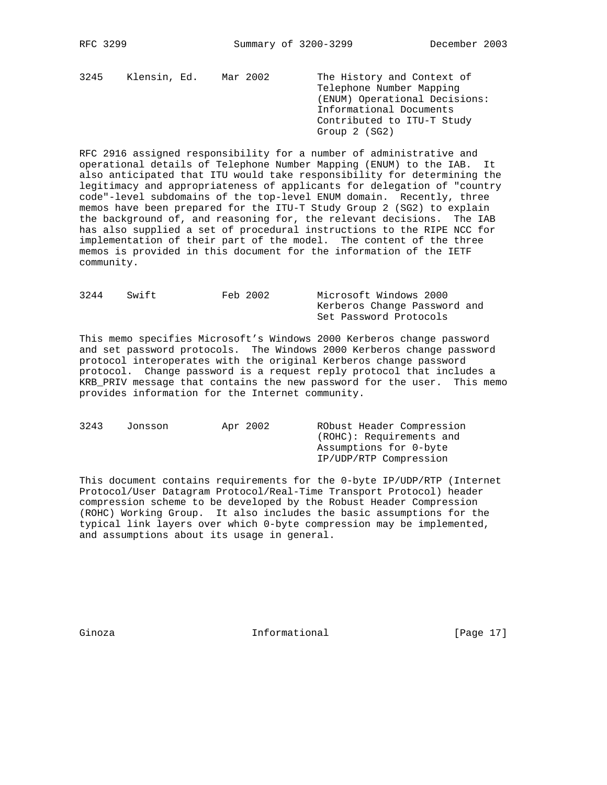3245 Klensin, Ed. Mar 2002 The History and Context of Telephone Number Mapping (ENUM) Operational Decisions: Informational Documents Contributed to ITU-T Study Group 2 (SG2)

RFC 2916 assigned responsibility for a number of administrative and operational details of Telephone Number Mapping (ENUM) to the IAB. It also anticipated that ITU would take responsibility for determining the legitimacy and appropriateness of applicants for delegation of "country code"-level subdomains of the top-level ENUM domain. Recently, three memos have been prepared for the ITU-T Study Group 2 (SG2) to explain the background of, and reasoning for, the relevant decisions. The IAB has also supplied a set of procedural instructions to the RIPE NCC for implementation of their part of the model. The content of the three memos is provided in this document for the information of the IETF community.

| 3244 | Swift | Feb 2002 | Microsoft Windows 2000       |
|------|-------|----------|------------------------------|
|      |       |          | Kerberos Change Password and |
|      |       |          | Set Password Protocols       |

This memo specifies Microsoft's Windows 2000 Kerberos change password and set password protocols. The Windows 2000 Kerberos change password protocol interoperates with the original Kerberos change password protocol. Change password is a request reply protocol that includes a KRB\_PRIV message that contains the new password for the user. This memo provides information for the Internet community.

| 3243 | Jonsson | Apr 2002 | RObust Header Compression |
|------|---------|----------|---------------------------|
|      |         |          | (ROHC): Requirements and  |
|      |         |          | Assumptions for 0-byte    |
|      |         |          | IP/UDP/RTP Compression    |
|      |         |          |                           |

This document contains requirements for the 0-byte IP/UDP/RTP (Internet Protocol/User Datagram Protocol/Real-Time Transport Protocol) header compression scheme to be developed by the Robust Header Compression (ROHC) Working Group. It also includes the basic assumptions for the typical link layers over which 0-byte compression may be implemented, and assumptions about its usage in general.

Ginoza **Informational** Informational [Page 17]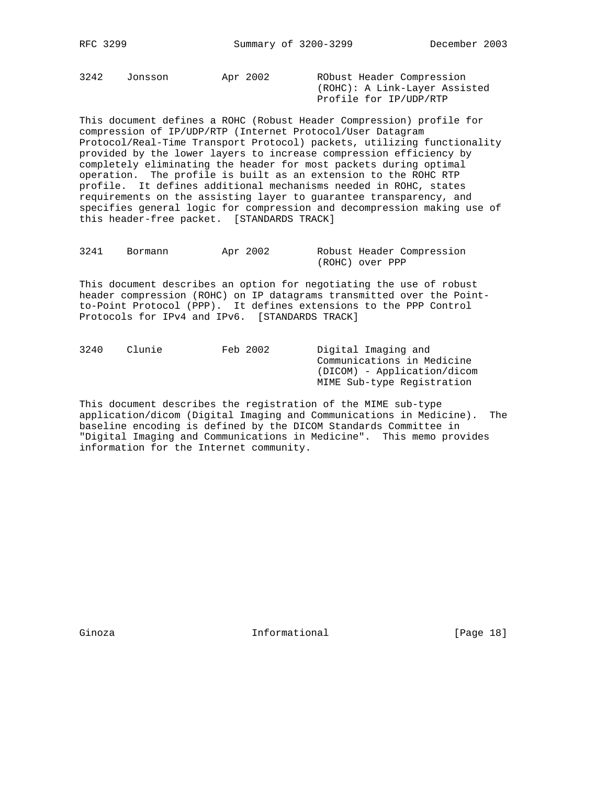3242 Jonsson Apr 2002 RObust Header Compression

 (ROHC): A Link-Layer Assisted Profile for IP/UDP/RTP

This document defines a ROHC (Robust Header Compression) profile for compression of IP/UDP/RTP (Internet Protocol/User Datagram Protocol/Real-Time Transport Protocol) packets, utilizing functionality provided by the lower layers to increase compression efficiency by completely eliminating the header for most packets during optimal operation. The profile is built as an extension to the ROHC RTP profile. It defines additional mechanisms needed in ROHC, states requirements on the assisting layer to guarantee transparency, and specifies general logic for compression and decompression making use of this header-free packet. [STANDARDS TRACK]

| 3241 | Bormann | Apr 2002 |                 | Robust Header Compression |
|------|---------|----------|-----------------|---------------------------|
|      |         |          | (ROHC) over PPP |                           |

This document describes an option for negotiating the use of robust header compression (ROHC) on IP datagrams transmitted over the Pointto-Point Protocol (PPP). It defines extensions to the PPP Control Protocols for IPv4 and IPv6. [STANDARDS TRACK]

| Clunie | Digital Imaging and         |
|--------|-----------------------------|
|        | Communications in Medicine  |
|        | (DICOM) - Application/dicom |
|        | MIME Sub-type Registration  |
|        | Feb 2002                    |

This document describes the registration of the MIME sub-type application/dicom (Digital Imaging and Communications in Medicine). The baseline encoding is defined by the DICOM Standards Committee in "Digital Imaging and Communications in Medicine". This memo provides information for the Internet community.

Ginoza **Informational Informational** [Page 18]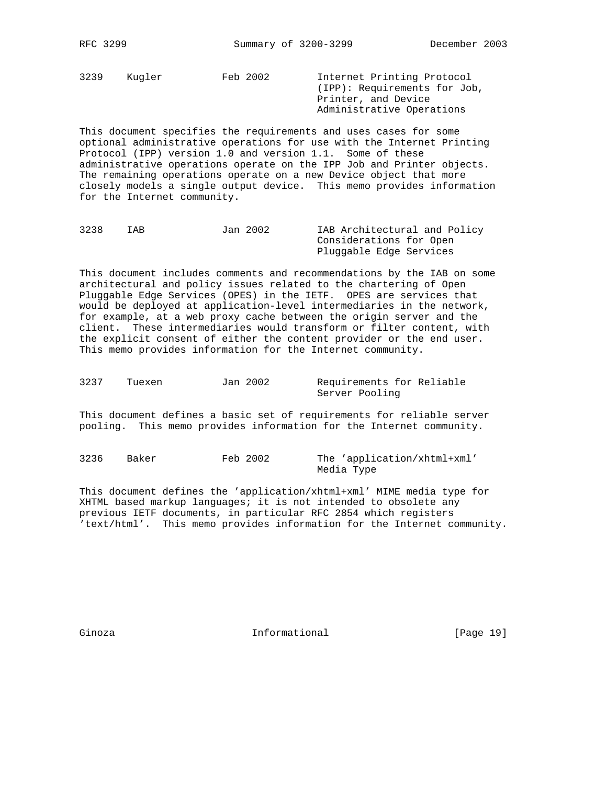3239 Kugler Feb 2002 Internet Printing Protocol (IPP): Requirements for Job, Printer, and Device Administrative Operations

This document specifies the requirements and uses cases for some optional administrative operations for use with the Internet Printing Protocol (IPP) version 1.0 and version 1.1. Some of these administrative operations operate on the IPP Job and Printer objects. The remaining operations operate on a new Device object that more closely models a single output device. This memo provides information for the Internet community.

| 3238 | IAB | Jan 2002 | IAB Architectural and Policy |
|------|-----|----------|------------------------------|
|      |     |          | Considerations for Open      |
|      |     |          | Pluggable Edge Services      |

This document includes comments and recommendations by the IAB on some architectural and policy issues related to the chartering of Open Pluggable Edge Services (OPES) in the IETF. OPES are services that would be deployed at application-level intermediaries in the network, for example, at a web proxy cache between the origin server and the client. These intermediaries would transform or filter content, with the explicit consent of either the content provider or the end user. This memo provides information for the Internet community.

3237 Tuexen Jan 2002 Requirements for Reliable Server Pooling

This document defines a basic set of requirements for reliable server pooling. This memo provides information for the Internet community.

3236 Baker Feb 2002 The 'application/xhtml+xml' Media Type

This document defines the 'application/xhtml+xml' MIME media type for XHTML based markup languages; it is not intended to obsolete any previous IETF documents, in particular RFC 2854 which registers 'text/html'. This memo provides information for the Internet community.

Ginoza **Informational** Informational [Page 19]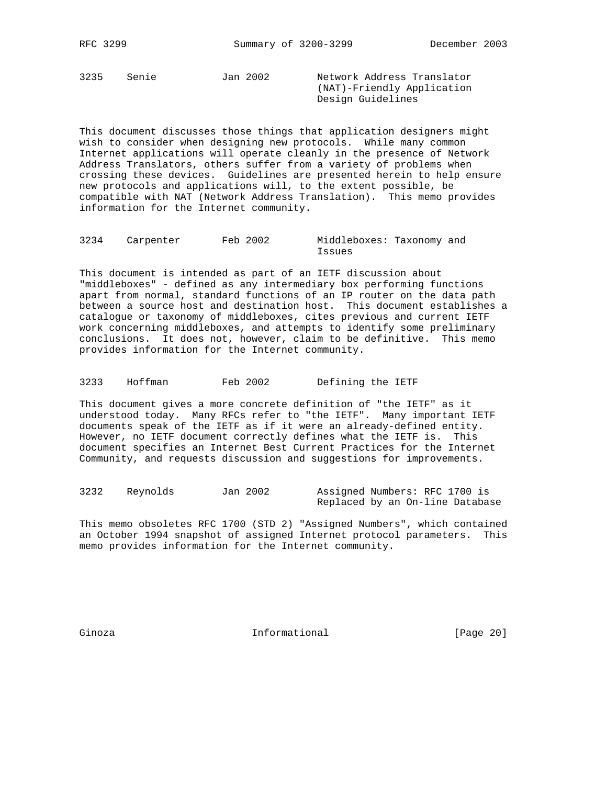3235 Senie Jan 2002 Network Address Translator

 (NAT)-Friendly Application Design Guidelines

This document discusses those things that application designers might wish to consider when designing new protocols. While many common Internet applications will operate cleanly in the presence of Network Address Translators, others suffer from a variety of problems when crossing these devices. Guidelines are presented herein to help ensure new protocols and applications will, to the extent possible, be compatible with NAT (Network Address Translation). This memo provides information for the Internet community.

3234 Carpenter Feb 2002 Middleboxes: Taxonomy and Issues

This document is intended as part of an IETF discussion about "middleboxes" - defined as any intermediary box performing functions apart from normal, standard functions of an IP router on the data path between a source host and destination host. This document establishes a catalogue or taxonomy of middleboxes, cites previous and current IETF work concerning middleboxes, and attempts to identify some preliminary conclusions. It does not, however, claim to be definitive. This memo provides information for the Internet community.

3233 Hoffman Feb 2002 Defining the IETF

This document gives a more concrete definition of "the IETF" as it understood today. Many RFCs refer to "the IETF". Many important IETF documents speak of the IETF as if it were an already-defined entity. However, no IETF document correctly defines what the IETF is. This document specifies an Internet Best Current Practices for the Internet Community, and requests discussion and suggestions for improvements.

3232 Reynolds Jan 2002 Assigned Numbers: RFC 1700 is Replaced by an On-line Database

This memo obsoletes RFC 1700 (STD 2) "Assigned Numbers", which contained an October 1994 snapshot of assigned Internet protocol parameters. This memo provides information for the Internet community.

Ginoza **Informational Informational** [Page 20]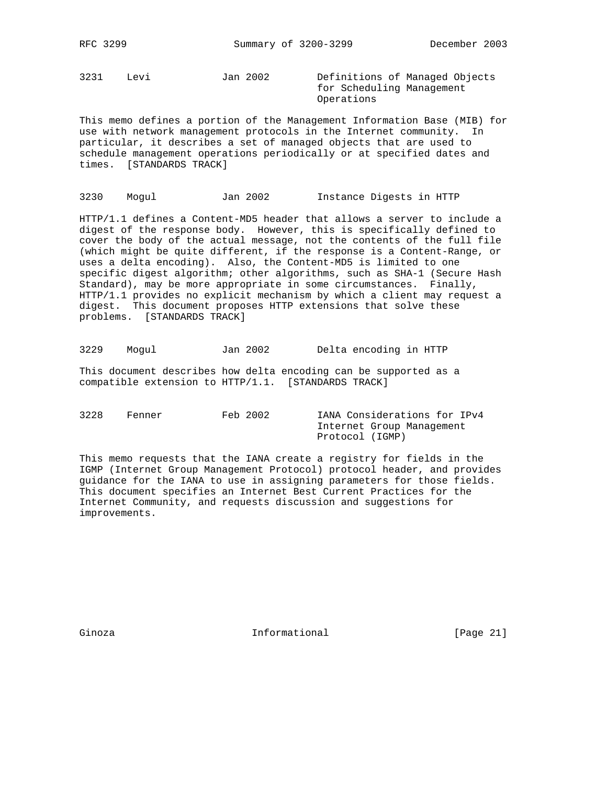RFC 3299 Summary of 3200-3299 December 2003

3231 Levi Jan 2002 Definitions of Managed Objects

 for Scheduling Management Operations

This memo defines a portion of the Management Information Base (MIB) for use with network management protocols in the Internet community. In particular, it describes a set of managed objects that are used to schedule management operations periodically or at specified dates and times. [STANDARDS TRACK]

3230 Mogul Jan 2002 Instance Digests in HTTP

HTTP/1.1 defines a Content-MD5 header that allows a server to include a digest of the response body. However, this is specifically defined to cover the body of the actual message, not the contents of the full file (which might be quite different, if the response is a Content-Range, or uses a delta encoding). Also, the Content-MD5 is limited to one specific digest algorithm; other algorithms, such as SHA-1 (Secure Hash Standard), may be more appropriate in some circumstances. Finally, HTTP/1.1 provides no explicit mechanism by which a client may request a digest. This document proposes HTTP extensions that solve these problems. [STANDARDS TRACK]

3229 Mogul Jan 2002 Delta encoding in HTTP

This document describes how delta encoding can be supported as a compatible extension to HTTP/1.1. [STANDARDS TRACK]

3228 Fenner Feb 2002 IANA Considerations for IPv4 Internet Group Management Protocol (IGMP)

This memo requests that the IANA create a registry for fields in the IGMP (Internet Group Management Protocol) protocol header, and provides guidance for the IANA to use in assigning parameters for those fields. This document specifies an Internet Best Current Practices for the Internet Community, and requests discussion and suggestions for improvements.

Ginoza **Informational Informational** [Page 21]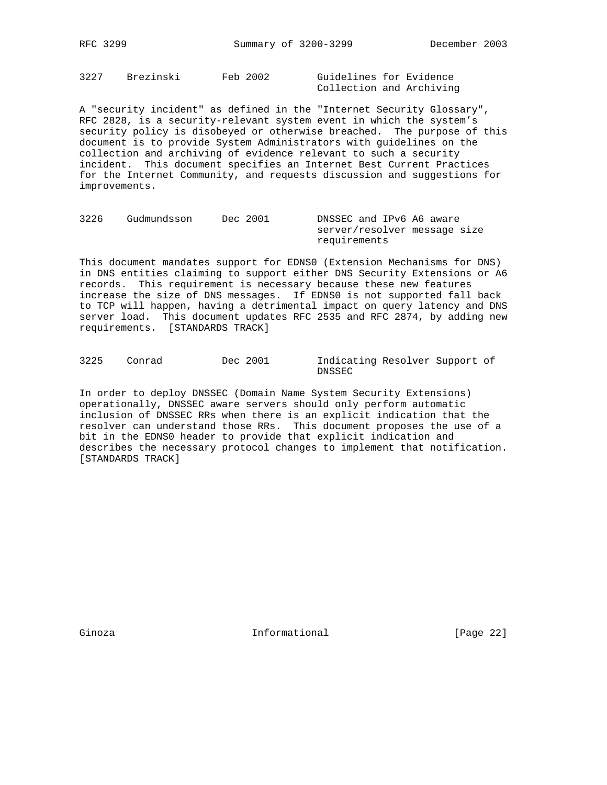3227 Brezinski Feb 2002 Guidelines for Evidence Collection and Archiving

A "security incident" as defined in the "Internet Security Glossary", RFC 2828, is a security-relevant system event in which the system's security policy is disobeyed or otherwise breached. The purpose of this document is to provide System Administrators with guidelines on the collection and archiving of evidence relevant to such a security incident. This document specifies an Internet Best Current Practices for the Internet Community, and requests discussion and suggestions for improvements.

| 3226 | Gudmundsson | Dec 2001 | DNSSEC and IPv6 A6 aware     |
|------|-------------|----------|------------------------------|
|      |             |          | server/resolver message size |
|      |             |          | requirements                 |

This document mandates support for EDNS0 (Extension Mechanisms for DNS) in DNS entities claiming to support either DNS Security Extensions or A6 records. This requirement is necessary because these new features increase the size of DNS messages. If EDNS0 is not supported fall back to TCP will happen, having a detrimental impact on query latency and DNS server load. This document updates RFC 2535 and RFC 2874, by adding new requirements. [STANDARDS TRACK]

3225 Conrad Dec 2001 Indicating Resolver Support of DNSSEC

In order to deploy DNSSEC (Domain Name System Security Extensions) operationally, DNSSEC aware servers should only perform automatic inclusion of DNSSEC RRs when there is an explicit indication that the resolver can understand those RRs. This document proposes the use of a bit in the EDNS0 header to provide that explicit indication and describes the necessary protocol changes to implement that notification. [STANDARDS TRACK]

Ginoza **Informational Informational** [Page 22]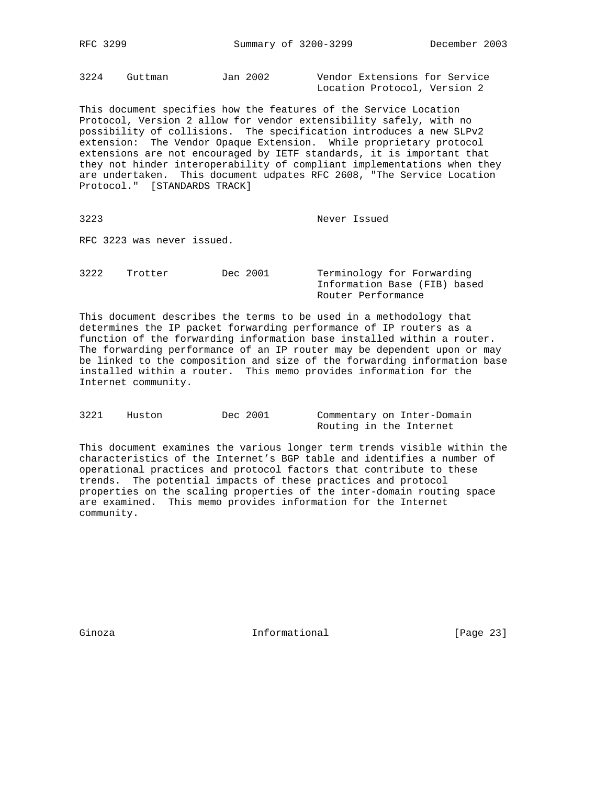RFC 3299 Summary of 3200-3299 December 2003

3224 Guttman Jan 2002 Vendor Extensions for Service Location Protocol, Version 2

This document specifies how the features of the Service Location Protocol, Version 2 allow for vendor extensibility safely, with no possibility of collisions. The specification introduces a new SLPv2 extension: The Vendor Opaque Extension. While proprietary protocol extensions are not encouraged by IETF standards, it is important that they not hinder interoperability of compliant implementations when they are undertaken. This document udpates RFC 2608, "The Service Location Protocol." [STANDARDS TRACK]

3223 Never Issued

RFC 3223 was never issued.

3222 Trotter Dec 2001 Terminology for Forwarding Information Base (FIB) based Router Performance

This document describes the terms to be used in a methodology that determines the IP packet forwarding performance of IP routers as a function of the forwarding information base installed within a router. The forwarding performance of an IP router may be dependent upon or may be linked to the composition and size of the forwarding information base installed within a router. This memo provides information for the Internet community.

| 3221 | Huston | Dec 2001 |                         | Commentary on Inter-Domain |
|------|--------|----------|-------------------------|----------------------------|
|      |        |          | Routing in the Internet |                            |

This document examines the various longer term trends visible within the characteristics of the Internet's BGP table and identifies a number of operational practices and protocol factors that contribute to these trends. The potential impacts of these practices and protocol properties on the scaling properties of the inter-domain routing space are examined. This memo provides information for the Internet community.

Ginoza **Informational Informational** [Page 23]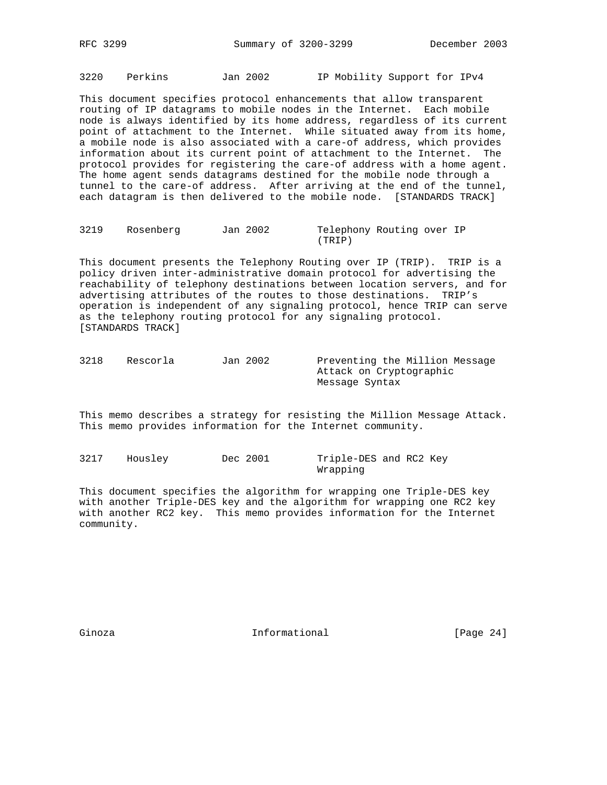3220 Perkins Jan 2002 IP Mobility Support for IPv4

This document specifies protocol enhancements that allow transparent routing of IP datagrams to mobile nodes in the Internet. Each mobile node is always identified by its home address, regardless of its current point of attachment to the Internet. While situated away from its home, a mobile node is also associated with a care-of address, which provides information about its current point of attachment to the Internet. The protocol provides for registering the care-of address with a home agent. The home agent sends datagrams destined for the mobile node through a tunnel to the care-of address. After arriving at the end of the tunnel, each datagram is then delivered to the mobile node. [STANDARDS TRACK]

| 3219 | Rosenberg | Jan 2002 | Telephony Routing over IP |  |  |
|------|-----------|----------|---------------------------|--|--|
|      |           |          | (TRIP)                    |  |  |

This document presents the Telephony Routing over IP (TRIP). TRIP is a policy driven inter-administrative domain protocol for advertising the reachability of telephony destinations between location servers, and for advertising attributes of the routes to those destinations. TRIP's operation is independent of any signaling protocol, hence TRIP can serve as the telephony routing protocol for any signaling protocol. [STANDARDS TRACK]

| 3218 | Rescorla | Jan 2002 | Preventing the Million Message |
|------|----------|----------|--------------------------------|
|      |          |          | Attack on Cryptographic        |
|      |          |          | Messaqe Syntax                 |

This memo describes a strategy for resisting the Million Message Attack. This memo provides information for the Internet community.

3217 Housley Dec 2001 Triple-DES and RC2 Key Wrapping

This document specifies the algorithm for wrapping one Triple-DES key with another Triple-DES key and the algorithm for wrapping one RC2 key with another RC2 key. This memo provides information for the Internet community.

Ginoza **Informational** Informational [Page 24]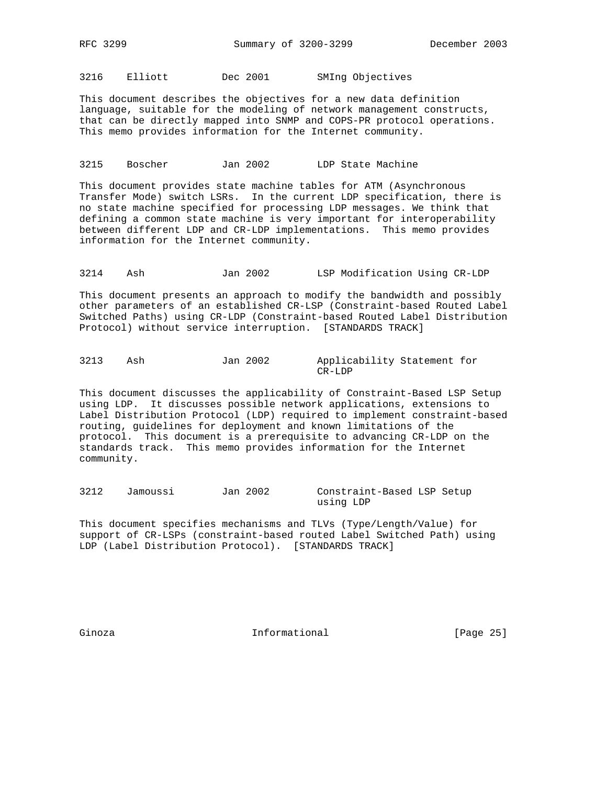RFC 3299 Summary of 3200-3299 December 2003

3216 Elliott Dec 2001 SMIng Objectives

This document describes the objectives for a new data definition language, suitable for the modeling of network management constructs, that can be directly mapped into SNMP and COPS-PR protocol operations. This memo provides information for the Internet community.

3215 Boscher Jan 2002 LDP State Machine

This document provides state machine tables for ATM (Asynchronous Transfer Mode) switch LSRs. In the current LDP specification, there is no state machine specified for processing LDP messages. We think that defining a common state machine is very important for interoperability between different LDP and CR-LDP implementations. This memo provides information for the Internet community.

3214 Ash Jan 2002 LSP Modification Using CR-LDP

This document presents an approach to modify the bandwidth and possibly other parameters of an established CR-LSP (Constraint-based Routed Label Switched Paths) using CR-LDP (Constraint-based Routed Label Distribution Protocol) without service interruption. [STANDARDS TRACK]

3213 Ash Jan 2002 Applicability Statement for CR-LDP

This document discusses the applicability of Constraint-Based LSP Setup using LDP. It discusses possible network applications, extensions to Label Distribution Protocol (LDP) required to implement constraint-based routing, guidelines for deployment and known limitations of the protocol. This document is a prerequisite to advancing CR-LDP on the standards track. This memo provides information for the Internet community.

3212 Jamoussi Jan 2002 Constraint-Based LSP Setup using LDP

This document specifies mechanisms and TLVs (Type/Length/Value) for support of CR-LSPs (constraint-based routed Label Switched Path) using LDP (Label Distribution Protocol). [STANDARDS TRACK]

Ginoza **Informational** Informational [Page 25]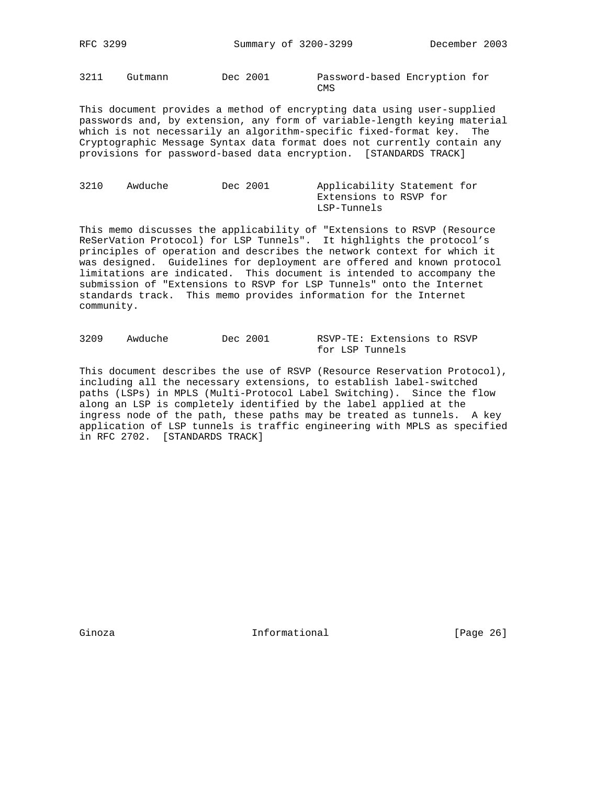RFC 3299 Summary of 3200-3299 December 2003

3211 Gutmann Dec 2001 Password-based Encryption for **CMS** 

This document provides a method of encrypting data using user-supplied passwords and, by extension, any form of variable-length keying material which is not necessarily an algorithm-specific fixed-format key. The Cryptographic Message Syntax data format does not currently contain any provisions for password-based data encryption. [STANDARDS TRACK]

| 3210 | Awduche | Dec 2001 | Applicability Statement for |  |
|------|---------|----------|-----------------------------|--|
|      |         |          | Extensions to RSVP for      |  |
|      |         |          | LSP-Tunnels                 |  |

This memo discusses the applicability of "Extensions to RSVP (Resource ReSerVation Protocol) for LSP Tunnels". It highlights the protocol's principles of operation and describes the network context for which it was designed. Guidelines for deployment are offered and known protocol limitations are indicated. This document is intended to accompany the submission of "Extensions to RSVP for LSP Tunnels" onto the Internet standards track. This memo provides information for the Internet community.

| 3209 | Awduche | Dec 2001 |                 | RSVP-TE: Extensions to RSVP |  |
|------|---------|----------|-----------------|-----------------------------|--|
|      |         |          | for LSP Tunnels |                             |  |

This document describes the use of RSVP (Resource Reservation Protocol), including all the necessary extensions, to establish label-switched paths (LSPs) in MPLS (Multi-Protocol Label Switching). Since the flow along an LSP is completely identified by the label applied at the ingress node of the path, these paths may be treated as tunnels. A key application of LSP tunnels is traffic engineering with MPLS as specified in RFC 2702. [STANDARDS TRACK]

Ginoza **Informational Informational** [Page 26]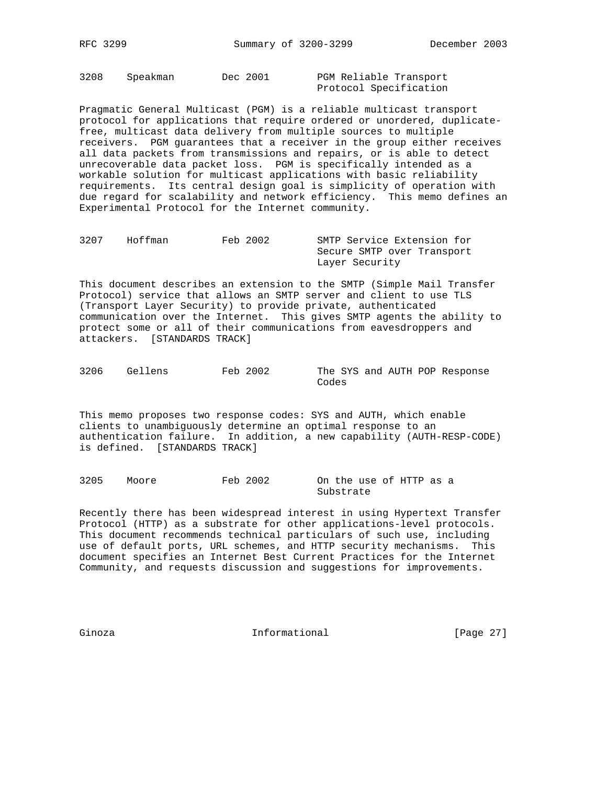3208 Speakman Dec 2001 PGM Reliable Transport Protocol Specification

Pragmatic General Multicast (PGM) is a reliable multicast transport protocol for applications that require ordered or unordered, duplicatefree, multicast data delivery from multiple sources to multiple receivers. PGM guarantees that a receiver in the group either receives all data packets from transmissions and repairs, or is able to detect unrecoverable data packet loss. PGM is specifically intended as a workable solution for multicast applications with basic reliability requirements. Its central design goal is simplicity of operation with due regard for scalability and network efficiency. This memo defines an Experimental Protocol for the Internet community.

| 3207 | Hoffman | Feb 2002 | SMTP Service Extension for |
|------|---------|----------|----------------------------|
|      |         |          | Secure SMTP over Transport |
|      |         |          | Layer Security             |

This document describes an extension to the SMTP (Simple Mail Transfer Protocol) service that allows an SMTP server and client to use TLS (Transport Layer Security) to provide private, authenticated communication over the Internet. This gives SMTP agents the ability to protect some or all of their communications from eavesdroppers and attackers. [STANDARDS TRACK]

3206 Gellens Feb 2002 The SYS and AUTH POP Response Codes

This memo proposes two response codes: SYS and AUTH, which enable clients to unambiguously determine an optimal response to an authentication failure. In addition, a new capability (AUTH-RESP-CODE) is defined. [STANDARDS TRACK]

3205 Moore Feb 2002 On the use of HTTP as a Substrate

Recently there has been widespread interest in using Hypertext Transfer Protocol (HTTP) as a substrate for other applications-level protocols. This document recommends technical particulars of such use, including use of default ports, URL schemes, and HTTP security mechanisms. This document specifies an Internet Best Current Practices for the Internet Community, and requests discussion and suggestions for improvements.

Ginoza **Informational Informational** [Page 27]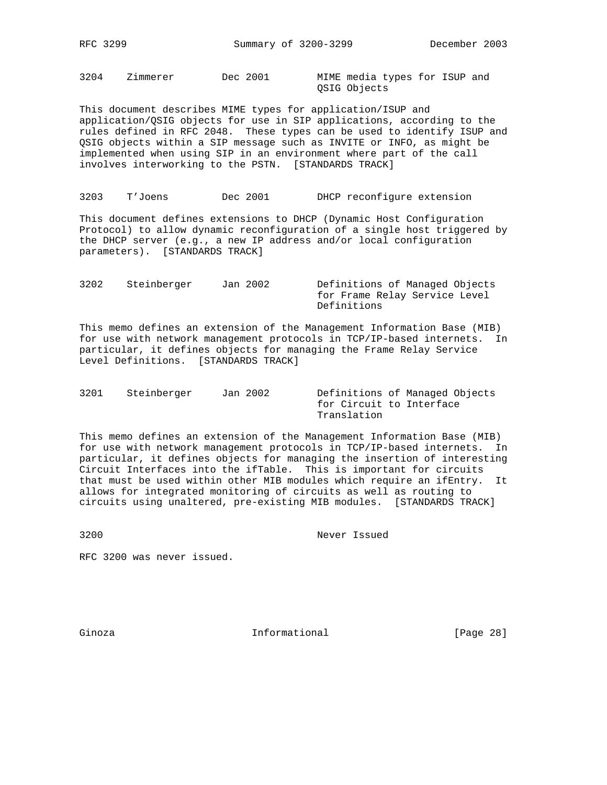3204 Zimmerer Dec 2001 MIME media types for ISUP and

QSIG Objects

This document describes MIME types for application/ISUP and application/QSIG objects for use in SIP applications, according to the rules defined in RFC 2048. These types can be used to identify ISUP and QSIG objects within a SIP message such as INVITE or INFO, as might be implemented when using SIP in an environment where part of the call involves interworking to the PSTN. [STANDARDS TRACK]

3203 T'Joens Dec 2001 DHCP reconfigure extension

This document defines extensions to DHCP (Dynamic Host Configuration Protocol) to allow dynamic reconfiguration of a single host triggered by the DHCP server (e.g., a new IP address and/or local configuration parameters). [STANDARDS TRACK]

3202 Steinberger Jan 2002 Definitions of Managed Objects for Frame Relay Service Level Definitions

This memo defines an extension of the Management Information Base (MIB) for use with network management protocols in TCP/IP-based internets. In particular, it defines objects for managing the Frame Relay Service Level Definitions. [STANDARDS TRACK]

| 3201 | Steinberger | Jan 2002 | Definitions of Managed Objects |
|------|-------------|----------|--------------------------------|
|      |             |          | for Circuit to Interface       |
|      |             |          | Translation                    |

This memo defines an extension of the Management Information Base (MIB) for use with network management protocols in TCP/IP-based internets. In particular, it defines objects for managing the insertion of interesting Circuit Interfaces into the ifTable. This is important for circuits that must be used within other MIB modules which require an ifEntry. It allows for integrated monitoring of circuits as well as routing to circuits using unaltered, pre-existing MIB modules. [STANDARDS TRACK]

3200 Never Issued

RFC 3200 was never issued.

Ginoza **Informational Informational** [Page 28]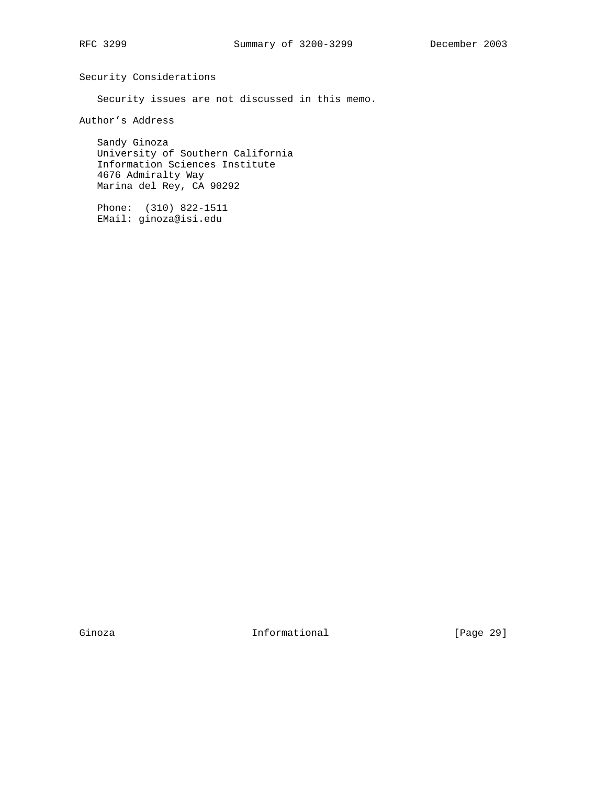Security Considerations

Security issues are not discussed in this memo.

Author's Address

 Sandy Ginoza University of Southern California Information Sciences Institute 4676 Admiralty Way Marina del Rey, CA 90292

 Phone: (310) 822-1511 EMail: ginoza@isi.edu

Ginoza **Informational Informational** [Page 29]